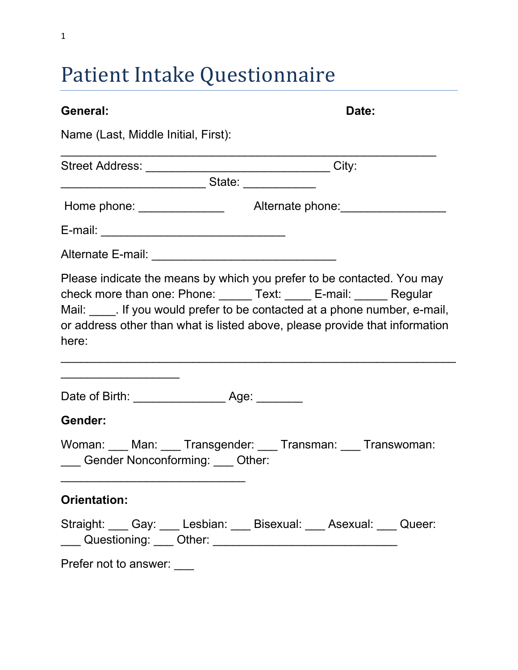# Patient Intake Questionnaire

| General:                                                  | Date:                                                                                                                                                                                                                                                                                               |
|-----------------------------------------------------------|-----------------------------------------------------------------------------------------------------------------------------------------------------------------------------------------------------------------------------------------------------------------------------------------------------|
| Name (Last, Middle Initial, First):                       |                                                                                                                                                                                                                                                                                                     |
| Street Address: __________________________________City:   |                                                                                                                                                                                                                                                                                                     |
| ___________________________________State: _______________ |                                                                                                                                                                                                                                                                                                     |
|                                                           | Home phone: __________________  Alternate phone: __________________                                                                                                                                                                                                                                 |
|                                                           |                                                                                                                                                                                                                                                                                                     |
| Alternate E-mail: _______________________________         |                                                                                                                                                                                                                                                                                                     |
| here:                                                     | Please indicate the means by which you prefer to be contacted. You may<br>check more than one: Phone: _____ Text: ____ E-mail: _____ Regular<br>Mail: If you would prefer to be contacted at a phone number, e-mail,<br>or address other than what is listed above, please provide that information |
|                                                           |                                                                                                                                                                                                                                                                                                     |
| Gender:<br>___ Gender Nonconforming: ___ Other:           | Woman: ___ Man: ___ Transgender: ___ Transman: ___ Transwoman:                                                                                                                                                                                                                                      |
| <b>Orientation:</b>                                       |                                                                                                                                                                                                                                                                                                     |
|                                                           | Straight: Cay: Lesbian: Disexual: Asexual: Queer:<br>___ Questioning: ___ Other: ______________________________                                                                                                                                                                                     |
| Prefer not to answer: ___                                 |                                                                                                                                                                                                                                                                                                     |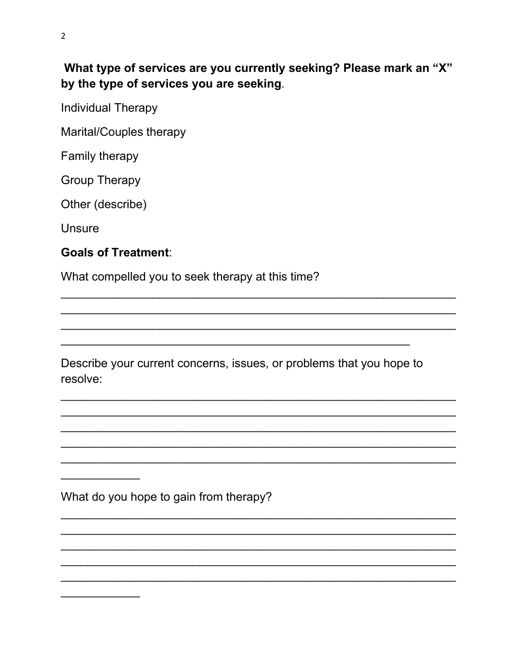What type of services are you currently seeking? Please mark an "X" by the type of services you are seeking.

**Individual Therapy** 

Marital/Couples therapy

Family therapy

**Group Therapy** 

Other (describe)

**Unsure** 

### **Goals of Treatment:**

What compelled you to seek therapy at this time?

Describe your current concerns, issues, or problems that you hope to resolve:

What do you hope to gain from therapy?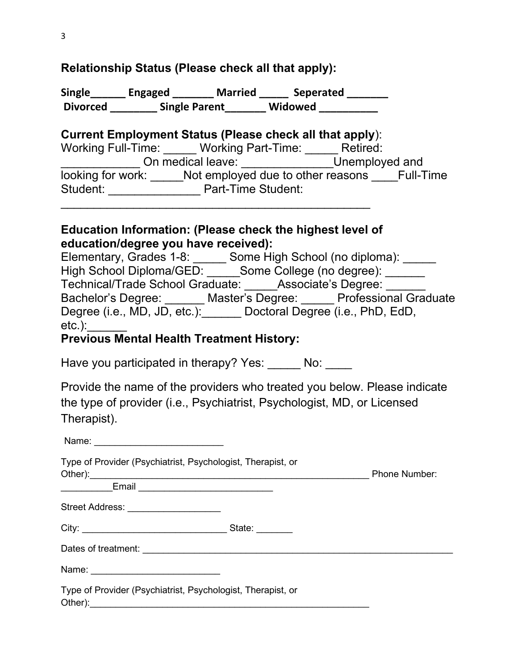#### **Relationship Status (Please check all that apply):**

**Single\_\_\_\_\_\_ Engaged \_\_\_\_\_\_\_ Married \_\_\_\_\_ Seperated \_\_\_\_\_\_\_ Divorced \_\_\_\_\_\_\_\_ Single Parent\_\_\_\_\_\_\_ Widowed \_\_\_\_\_\_\_\_\_\_**

#### **Current Employment Status (Please check all that apply**):

| Working Full-Time: | <b>Working Part-Time:</b>         | Retired:         |
|--------------------|-----------------------------------|------------------|
|                    | On medical leave:                 | Unemployed and   |
| looking for work:  | Not employed due to other reasons | <b>Full-Time</b> |
| Student:           | Part-Time Student:                |                  |

#### **Education Information: (Please check the highest level of education/degree you have received):**

 $\overline{\phantom{a}}$  , and the contract of the contract of the contract of the contract of the contract of the contract of the contract of the contract of the contract of the contract of the contract of the contract of the contrac

| Elementary, Grades 1-8:                                       | Some High School (no diploma):                            |
|---------------------------------------------------------------|-----------------------------------------------------------|
| High School Diploma/GED: Some College (no degree):            |                                                           |
| Technical/Trade School Graduate: Associate's Degree:          |                                                           |
|                                                               | Bachelor's Degree: Master's Degree: Professional Graduate |
| Degree (i.e., MD, JD, etc.): Doctoral Degree (i.e., PhD, EdD, |                                                           |
| etc.):                                                        |                                                           |

#### **Previous Mental Health Treatment History:**

Have you participated in therapy? Yes: No:

Provide the name of the providers who treated you below. Please indicate the type of provider (i.e., Psychiatrist, Psychologist, MD, or Licensed Therapist).

| Name: _________________________                                                                                   |        |                      |
|-------------------------------------------------------------------------------------------------------------------|--------|----------------------|
| Type of Provider (Psychiatrist, Psychologist, Therapist, or<br>_____________Email _______________________________ |        | <b>Phone Number:</b> |
| Street Address: ___________________                                                                               |        |                      |
|                                                                                                                   | State: |                      |
|                                                                                                                   |        |                      |
| Name: ___________________________                                                                                 |        |                      |
| Type of Provider (Psychiatrist, Psychologist, Therapist, or                                                       |        |                      |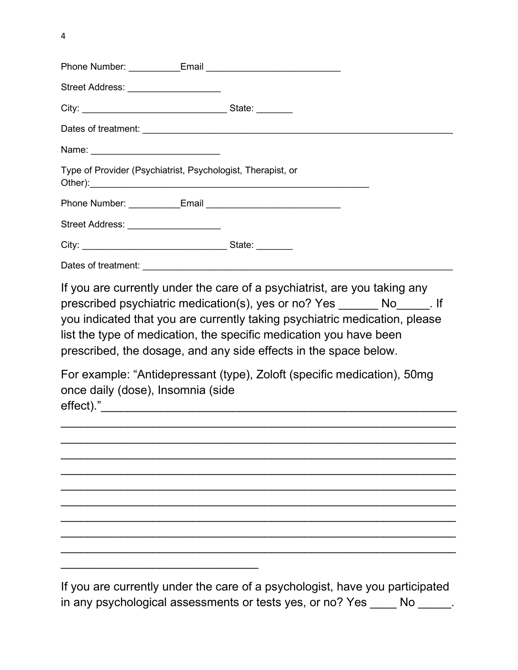| Street Address: ___________________                         |                                                                                                                                                                                                                                                                                                                                                                        |
|-------------------------------------------------------------|------------------------------------------------------------------------------------------------------------------------------------------------------------------------------------------------------------------------------------------------------------------------------------------------------------------------------------------------------------------------|
|                                                             |                                                                                                                                                                                                                                                                                                                                                                        |
|                                                             |                                                                                                                                                                                                                                                                                                                                                                        |
| Name: ______________________________                        |                                                                                                                                                                                                                                                                                                                                                                        |
| Type of Provider (Psychiatrist, Psychologist, Therapist, or |                                                                                                                                                                                                                                                                                                                                                                        |
|                                                             |                                                                                                                                                                                                                                                                                                                                                                        |
| Street Address: ____________________                        |                                                                                                                                                                                                                                                                                                                                                                        |
|                                                             |                                                                                                                                                                                                                                                                                                                                                                        |
|                                                             |                                                                                                                                                                                                                                                                                                                                                                        |
| once daily (dose), Insomnia (side                           | prescribed psychiatric medication(s), yes or no? Yes No No No Right<br>you indicated that you are currently taking psychiatric medication, please<br>list the type of medication, the specific medication you have been<br>prescribed, the dosage, and any side effects in the space below.<br>For example: "Antidepressant (type), Zoloft (specific medication), 50mg |
|                                                             |                                                                                                                                                                                                                                                                                                                                                                        |
|                                                             |                                                                                                                                                                                                                                                                                                                                                                        |
|                                                             |                                                                                                                                                                                                                                                                                                                                                                        |
|                                                             |                                                                                                                                                                                                                                                                                                                                                                        |
|                                                             |                                                                                                                                                                                                                                                                                                                                                                        |
|                                                             |                                                                                                                                                                                                                                                                                                                                                                        |
|                                                             |                                                                                                                                                                                                                                                                                                                                                                        |
|                                                             |                                                                                                                                                                                                                                                                                                                                                                        |
|                                                             | If you are currently under the care of a neychologiet have you participated                                                                                                                                                                                                                                                                                            |

If you are currently under the care of a psychologist, have you participated in any psychological assessments or tests yes, or no? Yes \_\_\_\_ No \_\_\_\_\_.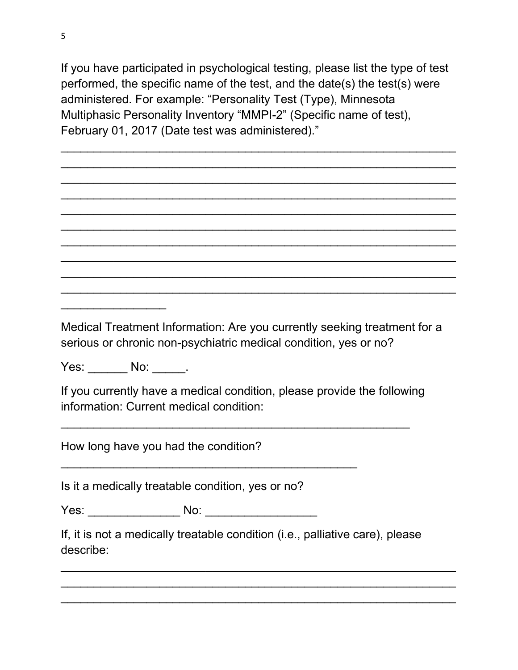If you have participated in psychological testing, please list the type of test performed, the specific name of the test, and the date(s) the test(s) were administered. For example: "Personality Test (Type), Minnesota Multiphasic Personality Inventory "MMPI-2" (Specific name of test), February 01, 2017 (Date test was administered)."

 $\overline{\phantom{a}}$  , and the contribution of the contribution of the contribution of the contribution of the contribution of the contribution of the contribution of the contribution of the contribution of the contribution of the  $\overline{\phantom{a}}$  , and the contribution of the contribution of the contribution of the contribution of the contribution of the contribution of the contribution of the contribution of the contribution of the contribution of the  $\overline{\phantom{a}}$  , and the contribution of the contribution of the contribution of the contribution of the contribution of the contribution of the contribution of the contribution of the contribution of the contribution of the  $\overline{\phantom{a}}$  , and the contribution of the contribution of the contribution of the contribution of the contribution of the contribution of the contribution of the contribution of the contribution of the contribution of the  $\overline{\phantom{a}}$  , and the contribution of the contribution of the contribution of the contribution of the contribution of the contribution of the contribution of the contribution of the contribution of the contribution of the  $\overline{\phantom{a}}$  , and the contribution of the contribution of the contribution of the contribution of the contribution of the contribution of the contribution of the contribution of the contribution of the contribution of the  $\overline{\phantom{a}}$  , and the contribution of the contribution of the contribution of the contribution of the contribution of the contribution of the contribution of the contribution of the contribution of the contribution of the  $\overline{\phantom{a}}$  , and the contribution of the contribution of the contribution of the contribution of the contribution of the contribution of the contribution of the contribution of the contribution of the contribution of the  $\overline{\phantom{a}}$  , and the contribution of the contribution of the contribution of the contribution of the contribution of the contribution of the contribution of the contribution of the contribution of the contribution of the  $\overline{\phantom{a}}$  , and the contribution of the contribution of the contribution of the contribution of the contribution of the contribution of the contribution of the contribution of the contribution of the contribution of the

Medical Treatment Information: Are you currently seeking treatment for a serious or chronic non-psychiatric medical condition, yes or no?

Yes: No: No:

 $\overline{\phantom{a}}$ 

If you currently have a medical condition, please provide the following information: Current medical condition:

 $\overline{\phantom{a}}$  , and the contribution of the contribution of  $\overline{\phantom{a}}$  , and  $\overline{\phantom{a}}$  , and  $\overline{\phantom{a}}$  , and  $\overline{\phantom{a}}$  , and  $\overline{\phantom{a}}$  , and  $\overline{\phantom{a}}$  , and  $\overline{\phantom{a}}$  , and  $\overline{\phantom{a}}$  , and  $\overline{\phantom{a}}$  , and

How long have you had the condition?

Is it a medically treatable condition, yes or no?

Yes: \_\_\_\_\_\_\_\_\_\_\_\_\_\_ No: \_\_\_\_\_\_\_\_\_\_\_\_\_\_\_\_\_

\_\_\_\_\_\_\_\_\_\_\_\_\_\_\_\_\_\_\_\_\_\_\_\_\_\_\_\_\_\_\_\_\_\_\_\_\_\_\_\_\_\_\_\_\_

If, it is not a medically treatable condition (i.e., palliative care), please describe:

 $\overline{\phantom{a}}$  , and the contribution of the contribution of the contribution of the contribution of the contribution of the contribution of the contribution of the contribution of the contribution of the contribution of the  $\overline{\phantom{a}}$  , and the contribution of the contribution of the contribution of the contribution of the contribution of the contribution of the contribution of the contribution of the contribution of the contribution of the  $\overline{\phantom{a}}$  , and the contribution of the contribution of the contribution of the contribution of the contribution of the contribution of the contribution of the contribution of the contribution of the contribution of the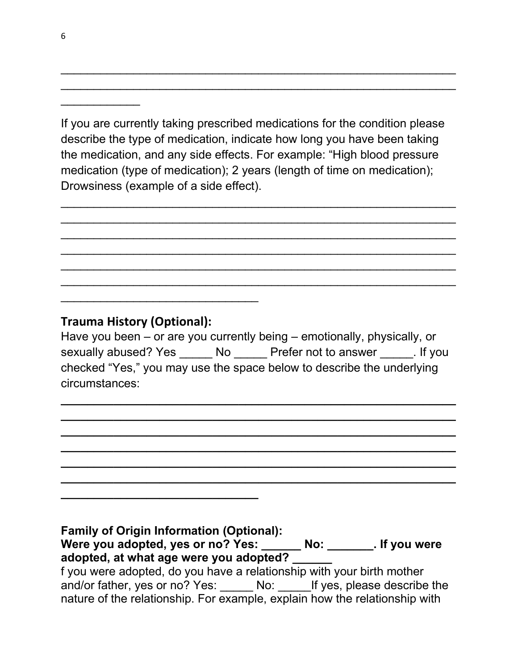If you are currently taking prescribed medications for the condition please describe the type of medication, indicate how long you have been taking the medication, and any side effects. For example: "High blood pressure medication (type of medication); 2 years (length of time on medication); Drowsiness (example of a side effect).

 $\overline{\phantom{a}}$  , and the contribution of the contribution of the contribution of the contribution of the contribution of the contribution of the contribution of the contribution of the contribution of the contribution of the  $\overline{\phantom{a}}$  , and the contribution of the contribution of the contribution of the contribution of the contribution of the contribution of the contribution of the contribution of the contribution of the contribution of the  $\overline{\phantom{a}}$  , and the contribution of the contribution of the contribution of the contribution of the contribution of the contribution of the contribution of the contribution of the contribution of the contribution of the  $\overline{\phantom{a}}$  , and the contribution of the contribution of the contribution of the contribution of the contribution of the contribution of the contribution of the contribution of the contribution of the contribution of the  $\overline{\phantom{a}}$  , and the contribution of the contribution of the contribution of the contribution of the contribution of the contribution of the contribution of the contribution of the contribution of the contribution of the  $\overline{\phantom{a}}$  , and the contribution of the contribution of the contribution of the contribution of the contribution of the contribution of the contribution of the contribution of the contribution of the contribution of the

 $\overline{\phantom{a}}$  , and the contribution of the contribution of the contribution of the contribution of the contribution of the contribution of the contribution of the contribution of the contribution of the contribution of the  $\overline{\phantom{a}}$  , and the contribution of the contribution of the contribution of the contribution of the contribution of the contribution of the contribution of the contribution of the contribution of the contribution of the

### **Trauma History (Optional):**

 $\overline{\phantom{a}}$  , and the set of the set of the set of the set of the set of the set of the set of the set of the set of the set of the set of the set of the set of the set of the set of the set of the set of the set of the s

**\_\_\_\_\_\_\_\_\_\_\_\_\_\_\_\_\_\_\_\_\_\_\_\_\_\_\_\_\_\_** 

Have you been – or are you currently being – emotionally, physically, or sexually abused? Yes \_\_\_\_\_\_ No \_\_\_\_\_\_ Prefer not to answer \_\_\_\_\_\_. If you checked "Yes," you may use the space below to describe the underlying circumstances:

**\_\_\_\_\_\_\_\_\_\_\_\_\_\_\_\_\_\_\_\_\_\_\_\_\_\_\_\_\_\_\_\_\_\_\_\_\_\_\_\_\_\_\_\_\_\_\_\_\_\_\_\_\_\_\_\_\_\_\_\_ \_\_\_\_\_\_\_\_\_\_\_\_\_\_\_\_\_\_\_\_\_\_\_\_\_\_\_\_\_\_\_\_\_\_\_\_\_\_\_\_\_\_\_\_\_\_\_\_\_\_\_\_\_\_\_\_\_\_\_\_ \_\_\_\_\_\_\_\_\_\_\_\_\_\_\_\_\_\_\_\_\_\_\_\_\_\_\_\_\_\_\_\_\_\_\_\_\_\_\_\_\_\_\_\_\_\_\_\_\_\_\_\_\_\_\_\_\_\_\_\_ \_\_\_\_\_\_\_\_\_\_\_\_\_\_\_\_\_\_\_\_\_\_\_\_\_\_\_\_\_\_\_\_\_\_\_\_\_\_\_\_\_\_\_\_\_\_\_\_\_\_\_\_\_\_\_\_\_\_\_\_ \_\_\_\_\_\_\_\_\_\_\_\_\_\_\_\_\_\_\_\_\_\_\_\_\_\_\_\_\_\_\_\_\_\_\_\_\_\_\_\_\_\_\_\_\_\_\_\_\_\_\_\_\_\_\_\_\_\_\_\_ \_\_\_\_\_\_\_\_\_\_\_\_\_\_\_\_\_\_\_\_\_\_\_\_\_\_\_\_\_\_\_\_\_\_\_\_\_\_\_\_\_\_\_\_\_\_\_\_\_\_\_\_\_\_\_\_\_\_\_\_**

**Family of Origin Information (Optional): Were you adopted, yes or no? Yes: \_\_\_\_\_\_ No: \_\_\_\_\_\_\_. If you were adopted, at what age were you adopted? \_\_\_\_\_\_** f you were adopted, do you have a relationship with your birth mother and/or father, yes or no? Yes: No: If yes, please describe the nature of the relationship. For example, explain how the relationship with

 $\overline{\phantom{a}}$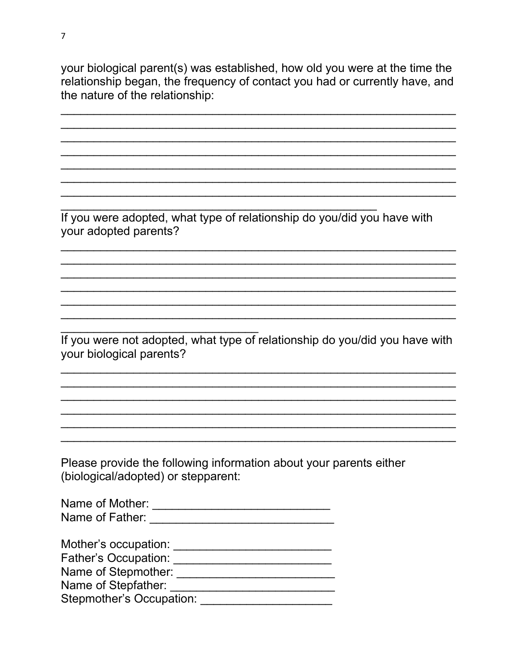your biological parent(s) was established, how old you were at the time the relationship began, the frequency of contact you had or currently have, and the nature of the relationship:

If you were adopted, what type of relationship do you/did you have with your adopted parents?

If you were not adopted, what type of relationship do you/did you have with your biological parents?

Please provide the following information about your parents either (biological/adopted) or stepparent:

| Name of Mother: |  |
|-----------------|--|
| Name of Father: |  |

Mother's occupation: When the control of the control of the control of the control of the control of the control of the control of the control of the control of the control of the control of the control of the control of t

Stepmother's Occupation: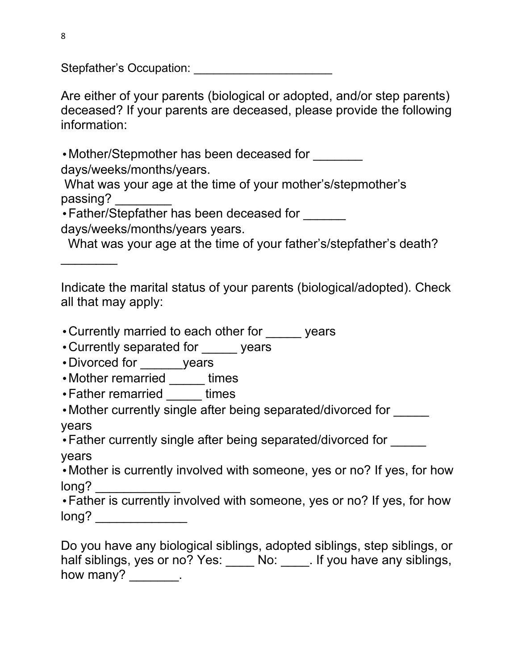Stepfather's Occupation: \_\_\_\_\_\_\_\_\_\_\_\_\_\_\_\_\_\_\_\_\_

Are either of your parents (biological or adopted, and/or step parents) deceased? If your parents are deceased, please provide the following information:

• Mother/Stepmother has been deceased for

days/weeks/months/years.

What was your age at the time of your mother's/stepmother's passing? \_\_\_\_\_\_\_\_

• Father/Stepfather has been deceased for

days/weeks/months/years years.

What was your age at the time of your father's/stepfather's death?

 $\overline{\phantom{a}}$ 

Indicate the marital status of your parents (biological/adopted). Check all that may apply:

- Currently married to each other for expressed vears
- •Currently separated for \_\_\_\_\_ years
- •Divorced for years
- •Mother remarried \_\_\_\_\_ times
- •Father remarried times

• Mother currently single after being separated/divorced for

years

• Father currently single after being separated/divorced for

years

•Mother is currently involved with someone, yes or no? If yes, for how long?

•Father is currently involved with someone, yes or no? If yes, for how long? \_\_\_\_\_\_\_\_\_\_\_\_\_

Do you have any biological siblings, adopted siblings, step siblings, or half siblings, yes or no? Yes: \_\_\_\_\_ No: \_\_\_\_\_. If you have any siblings, how many? \_\_\_\_\_\_\_\_.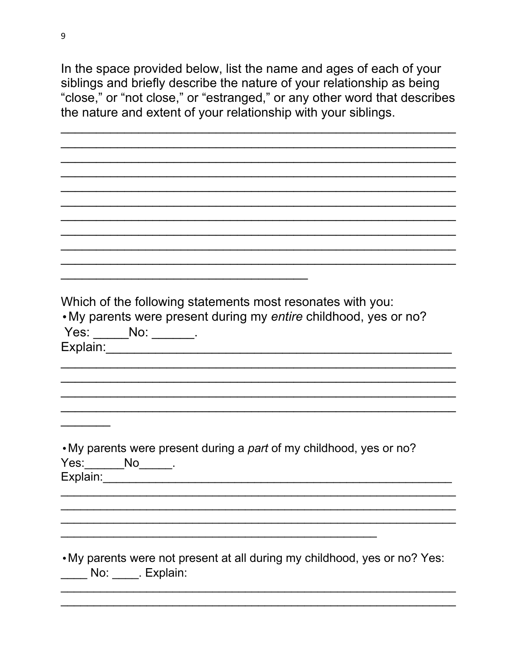In the space provided below, list the name and ages of each of your siblings and briefly describe the nature of your relationship as being "close," or "not close," or "estranged," or any other word that describes the nature and extent of your relationship with your siblings.

Which of the following statements most resonates with you: • My parents were present during my entire childhood, yes or no? Yes: \_\_\_\_\_\_\_No: \_\_\_\_\_\_\_\_. Explain: •My parents were present during a part of my childhood, yes or no? Yes: No. . . My parents were not present at all during my childhood, yes or no? Yes: No: \_\_\_\_\_. Explain: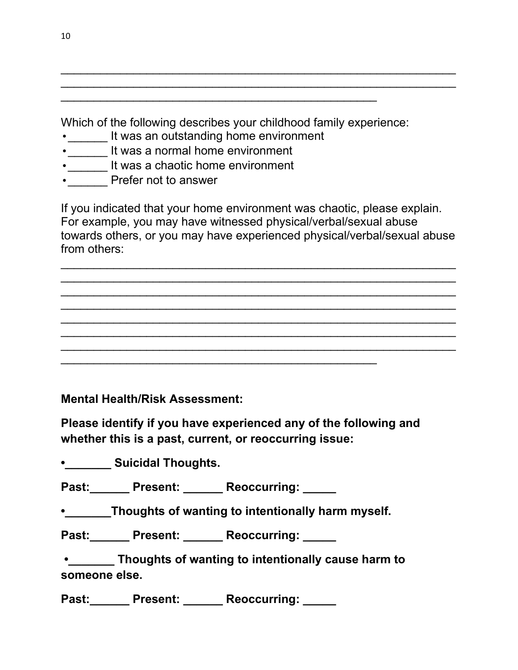Which of the following describes your childhood family experience:

 $\overline{\phantom{a}}$  , and the contract of the contract of the contract of the contract of the contract of the contract of the contract of the contract of the contract of the contract of the contract of the contract of the contrac

- •**\_\_\_\_\_\_** It was an outstanding home environment
- **Fig. 2** It was a normal home environment
- \_\_\_\_\_\_ It was a chaotic home environment
- •**\_\_\_\_\_\_** Prefer not to answer

If you indicated that your home environment was chaotic, please explain. For example, you may have witnessed physical/verbal/sexual abuse towards others, or you may have experienced physical/verbal/sexual abuse from others:

 $\overline{\phantom{a}}$  , and the contribution of the contribution of the contribution of the contribution of the contribution of the contribution of the contribution of the contribution of the contribution of the contribution of the  $\overline{\phantom{a}}$  , and the contribution of the contribution of the contribution of the contribution of the contribution of the contribution of the contribution of the contribution of the contribution of the contribution of the  $\overline{\phantom{a}}$  , and the contribution of the contribution of the contribution of the contribution of the contribution of the contribution of the contribution of the contribution of the contribution of the contribution of the  $\overline{\phantom{a}}$  , and the contribution of the contribution of the contribution of the contribution of the contribution of the contribution of the contribution of the contribution of the contribution of the contribution of the  $\overline{\phantom{a}}$  , and the contribution of the contribution of the contribution of the contribution of the contribution of the contribution of the contribution of the contribution of the contribution of the contribution of the  $\overline{\phantom{a}}$  , and the contribution of the contribution of the contribution of the contribution of the contribution of the contribution of the contribution of the contribution of the contribution of the contribution of the \_\_\_\_\_\_\_\_\_\_\_\_\_\_\_\_\_\_\_\_\_\_\_\_\_\_\_\_\_\_\_\_\_\_\_\_\_\_\_\_\_\_\_\_\_\_\_\_\_\_\_\_\_\_\_\_\_\_\_\_

 $\overline{\phantom{a}}$  , and the contribution of the contribution of the contribution of the contribution of the contribution of the contribution of the contribution of the contribution of the contribution of the contribution of the  $\overline{\phantom{a}}$  , and the contribution of the contribution of the contribution of the contribution of the contribution of the contribution of the contribution of the contribution of the contribution of the contribution of the

**Mental Health/Risk Assessment:** 

**Please identify if you have experienced any of the following and whether this is a past, current, or reoccurring issue:**

 $\overline{\phantom{a}}$  , and the contract of the contract of the contract of the contract of the contract of the contract of the contract of the contract of the contract of the contract of the contract of the contract of the contrac

**•\_\_\_\_\_\_\_ Suicidal Thoughts.** 

Past: Present: Reoccurring:

**•\_\_\_\_\_\_\_Thoughts of wanting to intentionally harm myself.** 

Past: Present: Reoccurring:

**•\_\_\_\_\_\_\_ Thoughts of wanting to intentionally cause harm to someone else.** 

**Past:\_\_\_\_\_\_ Present: \_\_\_\_\_\_ Reoccurring: \_\_\_\_\_**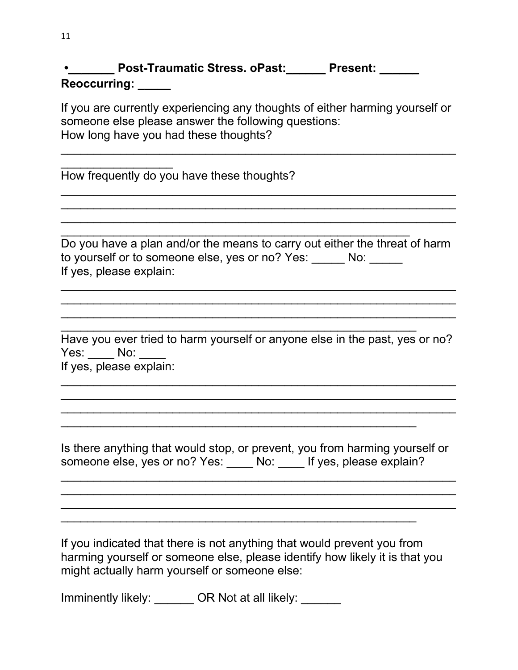|              | <b>Post-Traumatic Stress, oPast:</b> | <b>Present:</b> |
|--------------|--------------------------------------|-----------------|
| Reoccurring: |                                      |                 |

If you are currently experiencing any thoughts of either harming yourself or someone else please answer the following questions: How long have you had these thoughts?

 $\overline{\phantom{a}}$  , and the contribution of the contribution of the contribution of the contribution of the contribution of the contribution of the contribution of the contribution of the contribution of the contribution of the

 $\overline{\phantom{a}}$  , and the contribution of the contribution of the contribution of the contribution of the contribution of the contribution of the contribution of the contribution of the contribution of the contribution of the  $\overline{\phantom{a}}$  , and the contribution of the contribution of the contribution of the contribution of the contribution of the contribution of the contribution of the contribution of the contribution of the contribution of the  $\overline{\phantom{a}}$  , and the contribution of the contribution of the contribution of the contribution of the contribution of the contribution of the contribution of the contribution of the contribution of the contribution of the

How frequently do you have these thoughts?

\_\_\_\_\_\_\_\_\_\_\_\_\_\_\_\_\_

Do you have a plan and/or the means to carry out either the threat of harm to yourself or to someone else, yes or no? Yes: No: If yes, please explain:

 $\overline{\phantom{a}}$  , and the contribution of the contribution of the contribution of the contribution of the contribution of the contribution of the contribution of the contribution of the contribution of the contribution of the  $\overline{\phantom{a}}$  , and the contribution of the contribution of the contribution of the contribution of the contribution of the contribution of the contribution of the contribution of the contribution of the contribution of the  $\overline{\phantom{a}}$  , and the contribution of the contribution of the contribution of the contribution of the contribution of the contribution of the contribution of the contribution of the contribution of the contribution of the

\_\_\_\_\_\_\_\_\_\_\_\_\_\_\_\_\_\_\_\_\_\_\_\_\_\_\_\_\_\_\_\_\_\_\_\_\_\_\_\_\_\_\_\_\_\_\_\_\_\_\_\_\_

 $\overline{\phantom{a}}$  , and the contribution of the contribution of the contribution of the contribution of the contribution of the contribution of the contribution of the contribution of the contribution of the contribution of the Have you ever tried to harm yourself or anyone else in the past, yes or no? Yes: No: If yes, please explain:

 $\overline{\phantom{a}}$  , and the contribution of the contribution of the contribution of the contribution of the contribution of the contribution of the contribution of the contribution of the contribution of the contribution of the  $\overline{\phantom{a}}$  , and the contribution of the contribution of the contribution of the contribution of the contribution of the contribution of the contribution of the contribution of the contribution of the contribution of the  $\overline{\phantom{a}}$  , and the contribution of the contribution of the contribution of the contribution of the contribution of the contribution of the contribution of the contribution of the contribution of the contribution of the

Is there anything that would stop, or prevent, you from harming yourself or someone else, yes or no? Yes: No: If yes, please explain?

 $\overline{\phantom{a}}$  , and the contribution of the contribution of the contribution of the contribution of the contribution of the contribution of the contribution of the contribution of the contribution of the contribution of the  $\overline{\phantom{a}}$  , and the contribution of the contribution of the contribution of the contribution of the contribution of the contribution of the contribution of the contribution of the contribution of the contribution of the  $\overline{\phantom{a}}$  , and the contribution of the contribution of the contribution of the contribution of the contribution of the contribution of the contribution of the contribution of the contribution of the contribution of the

\_\_\_\_\_\_\_\_\_\_\_\_\_\_\_\_\_\_\_\_\_\_\_\_\_\_\_\_\_\_\_\_\_\_\_\_\_\_\_\_\_\_\_\_\_\_\_\_\_\_\_\_\_\_

\_\_\_\_\_\_\_\_\_\_\_\_\_\_\_\_\_\_\_\_\_\_\_\_\_\_\_\_\_\_\_\_\_\_\_\_\_\_\_\_\_\_\_\_\_\_\_\_\_\_\_\_\_\_

If you indicated that there is not anything that would prevent you from harming yourself or someone else, please identify how likely it is that you might actually harm yourself or someone else:

Imminently likely: \_\_\_\_\_\_\_ OR Not at all likely: \_\_\_\_\_\_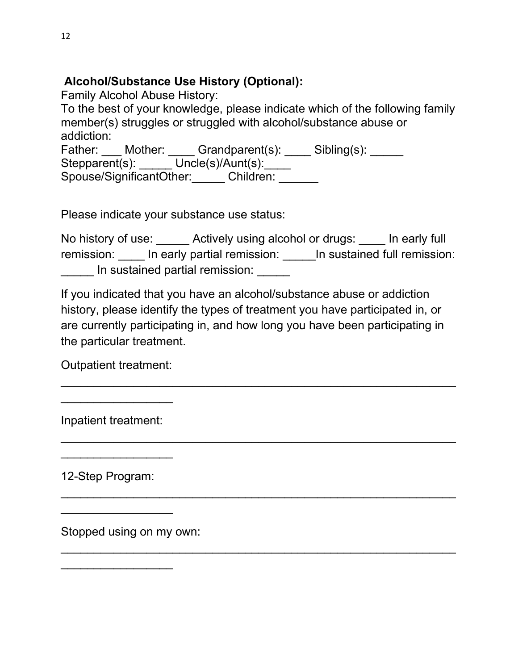## **Alcohol/Substance Use History (Optional):**

Family Alcohol Abuse History:

To the best of your knowledge, please indicate which of the following family member(s) struggles or struggled with alcohol/substance abuse or addiction: Father: Mother: Grandparent(s): Sibling(s): Stepparent(s): \_\_\_\_\_ Uncle(s)/Aunt(s): \_\_\_\_ Spouse/SignificantOther: Children:

Please indicate your substance use status:

No history of use: <br>Actively using alcohol or drugs: <br>In early full remission: ln early partial remission: ln sustained full remission: In sustained partial remission:

If you indicated that you have an alcohol/substance abuse or addiction history, please identify the types of treatment you have participated in, or are currently participating in, and how long you have been participating in the particular treatment.

 $\overline{\phantom{a}}$  , and the contribution of the contribution of the contribution of the contribution of the contribution of the contribution of the contribution of the contribution of the contribution of the contribution of the

\_\_\_\_\_\_\_\_\_\_\_\_\_\_\_\_\_\_\_\_\_\_\_\_\_\_\_\_\_\_\_\_\_\_\_\_\_\_\_\_\_\_\_\_\_\_\_\_\_\_\_\_\_\_\_\_\_\_\_\_

\_\_\_\_\_\_\_\_\_\_\_\_\_\_\_\_\_\_\_\_\_\_\_\_\_\_\_\_\_\_\_\_\_\_\_\_\_\_\_\_\_\_\_\_\_\_\_\_\_\_\_\_\_\_\_\_\_\_\_\_

 $\overline{\phantom{a}}$  , and the contribution of the contribution of the contribution of the contribution of the contribution of the contribution of the contribution of the contribution of the contribution of the contribution of the

Outpatient treatment:

\_\_\_\_\_\_\_\_\_\_\_\_\_\_\_\_\_

\_\_\_\_\_\_\_\_\_\_\_\_\_\_\_\_\_

\_\_\_\_\_\_\_\_\_\_\_\_\_\_\_\_\_

\_\_\_\_\_\_\_\_\_\_\_\_\_\_\_\_\_

Inpatient treatment:

12-Step Program:

Stopped using on my own: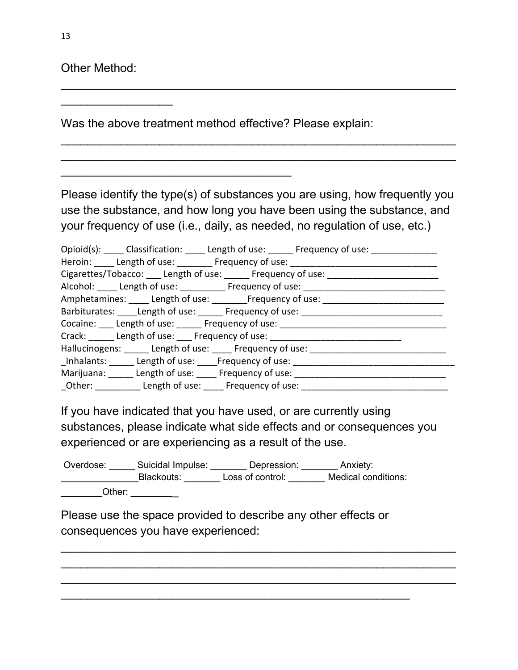Other Method:

\_\_\_\_\_\_\_\_\_\_\_\_\_\_\_\_\_

Was the above treatment method effective? Please explain:

\_\_\_\_\_\_\_\_\_\_\_\_\_\_\_\_\_\_\_\_\_\_\_\_\_\_\_\_\_\_\_\_\_\_\_

Please identify the type(s) of substances you are using, how frequently you use the substance, and how long you have been using the substance, and your frequency of use (i.e., daily, as needed, no regulation of use, etc.)

 $\overline{\phantom{a}}$  , and the contribution of the contribution of the contribution of the contribution of the contribution of the contribution of the contribution of the contribution of the contribution of the contribution of the

 $\overline{\phantom{a}}$  , and the contribution of the contribution of the contribution of the contribution of the contribution of the contribution of the contribution of the contribution of the contribution of the contribution of the  $\overline{\phantom{a}}$  , and the contribution of the contribution of the contribution of the contribution of the contribution of the contribution of the contribution of the contribution of the contribution of the contribution of the

| Opioid(s): _____ Classification: _____ Length of use: ______ Frequency of use: ____________ |
|---------------------------------------------------------------------------------------------|
| Heroin: Length of use: _______ Frequency of use: _______________________________            |
| Cigarettes/Tobacco: Length of use: Frequency of use: Cigarettes/Tobacco: Length of use:     |
| Alcohol: _____ Length of use: __________ Frequency of use: _______________                  |
| Amphetamines: ____ Length of use: ________ Frequency of use: _______                        |
| Barbiturates: Length of use: _____ Frequency of use: _________                              |
| Cocaine: Length of use: _____ Frequency of use: ___________                                 |
| Crack: Length of use: Frequency of use: Crack:                                              |
| Hallucinogens: Length of use: Frequency of use: Letterman Length of use and Hallucinogens:  |
| Inhalants: Length of use: Frequency of use:                                                 |
| Marijuana: Length of use: Frequency of use: 1991                                            |
| _Other: ____________ Length of use: _____ Frequency of use:                                 |

If you have indicated that you have used, or are currently using substances, please indicate what side effects and or consequences you experienced or are experiencing as a result of the use.

\_\_\_\_\_\_\_\_\_\_\_\_\_\_\_\_\_\_\_\_\_\_\_\_\_\_\_\_\_\_\_\_\_\_\_\_\_\_\_\_\_\_\_\_\_\_\_\_\_\_\_\_\_\_\_\_\_\_\_\_  $\overline{\phantom{a}}$  , and the contribution of the contribution of the contribution of the contribution of the contribution of the contribution of the contribution of the contribution of the contribution of the contribution of the \_\_\_\_\_\_\_\_\_\_\_\_\_\_\_\_\_\_\_\_\_\_\_\_\_\_\_\_\_\_\_\_\_\_\_\_\_\_\_\_\_\_\_\_\_\_\_\_\_\_\_\_\_\_\_\_\_\_\_\_

Overdose: Suicidal Impulse: Depression: Anxiety: \_\_\_\_\_\_\_\_\_\_\_\_\_\_\_Blackouts: \_\_\_\_\_\_\_ Loss of control: \_\_\_\_\_\_\_ Medical conditions: Other: \_\_\_\_\_\_\_\_\_

Please use the space provided to describe any other effects or consequences you have experienced:

\_\_\_\_\_\_\_\_\_\_\_\_\_\_\_\_\_\_\_\_\_\_\_\_\_\_\_\_\_\_\_\_\_\_\_\_\_\_\_\_\_\_\_\_\_\_\_\_\_\_\_\_\_